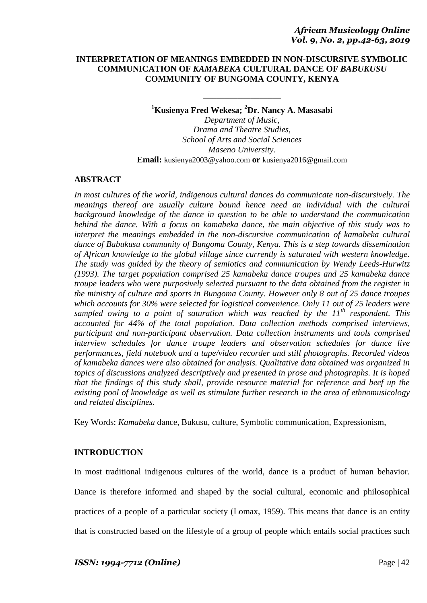## **INTERPRETATION OF MEANINGS EMBEDDED IN NON-DISCURSIVE SYMBOLIC COMMUNICATION OF** *KAMABEKA* **CULTURAL DANCE OF** *BABUKUSU* **COMMUNITY OF BUNGOMA COUNTY, KENYA**

**<sup>1</sup>Kusienya Fred Wekesa; <sup>2</sup>Dr. Nancy A. Masasabi**

**\_\_\_\_\_\_\_\_\_\_\_\_\_\_\_\_\_\_**

*Department of Music, Drama and Theatre Studies, School of Arts and Social Sciences Maseno University.* **Email:** kusienya2003@yahoo.com **or** kusienya2016@gmail.com

# **ABSTRACT**

*In most cultures of the world, indigenous cultural dances do communicate non-discursively. The meanings thereof are usually culture bound hence need an individual with the cultural background knowledge of the dance in question to be able to understand the communication behind the dance. With a focus on kamabeka dance, the main objective of this study was to interpret the meanings embedded in the non-discursive communication of kamabeka cultural dance of Babukusu community of Bungoma County, Kenya. This is a step towards dissemination of African knowledge to the global village since currently is saturated with western knowledge. The study was guided by the theory of semiotics and communication by Wendy Leeds-Hurwitz (1993). The target population comprised 25 kamabeka dance troupes and 25 kamabeka dance troupe leaders who were purposively selected pursuant to the data obtained from the register in the ministry of culture and sports in Bungoma County. However only 8 out of 25 dance troupes which accounts for 30% were selected for logistical convenience. Only 11 out of 25 leaders were sampled owing to a point of saturation which was reached by the 11th respondent. This accounted for 44% of the total population. Data collection methods comprised interviews, participant and non-participant observation. Data collection instruments and tools comprised interview schedules for dance troupe leaders and observation schedules for dance live performances, field notebook and a tape/video recorder and still photographs. Recorded videos of kamabeka dances were also obtained for analysis. Qualitative data obtained was organized in topics of discussions analyzed descriptively and presented in prose and photographs. It is hoped that the findings of this study shall, provide resource material for reference and beef up the existing pool of knowledge as well as stimulate further research in the area of ethnomusicology and related disciplines.*

Key Words: *Kamabeka* dance*,* Bukusu, culture, Symbolic communication, Expressionism,

# **INTRODUCTION**

In most traditional indigenous cultures of the world, dance is a product of human behavior. Dance is therefore informed and shaped by the social cultural, economic and philosophical practices of a people of a particular society (Lomax, 1959). This means that dance is an entity that is constructed based on the lifestyle of a group of people which entails social practices such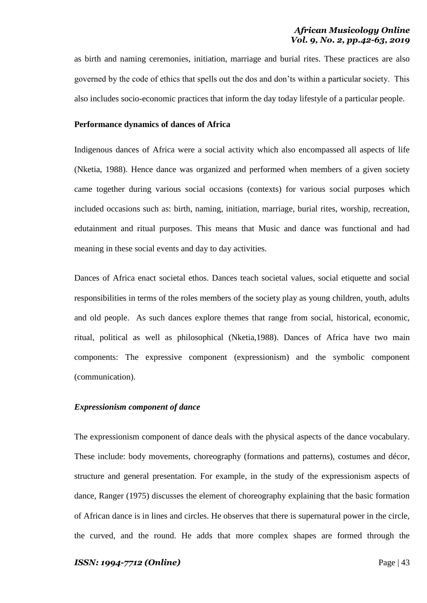as birth and naming ceremonies, initiation, marriage and burial rites. These practices are also governed by the code of ethics that spells out the dos and don"ts within a particular society. This also includes socio-economic practices that inform the day today lifestyle of a particular people.

## **Performance dynamics of dances of Africa**

Indigenous dances of Africa were a social activity which also encompassed all aspects of life (Nketia, 1988). Hence dance was organized and performed when members of a given society came together during various social occasions (contexts) for various social purposes which included occasions such as: birth, naming, initiation, marriage, burial rites, worship, recreation, edutainment and ritual purposes. This means that Music and dance was functional and had meaning in these social events and day to day activities.

Dances of Africa enact societal ethos. Dances teach societal values, social etiquette and social responsibilities in terms of the roles members of the society play as young children, youth, adults and old people. As such dances explore themes that range from social, historical, economic, ritual, political as well as philosophical (Nketia,1988). Dances of Africa have two main components: The expressive component (expressionism) and the symbolic component (communication).

## *Expressionism component of dance*

The expressionism component of dance deals with the physical aspects of the dance vocabulary. These include: body movements, choreography (formations and patterns), costumes and décor, structure and general presentation. For example, in the study of the expressionism aspects of dance, Ranger (1975) discusses the element of choreography explaining that the basic formation of African dance is in lines and circles. He observes that there is supernatural power in the circle, the curved, and the round. He adds that more complex shapes are formed through the

#### *ISSN: 1994-7712 (Online)* Page | 43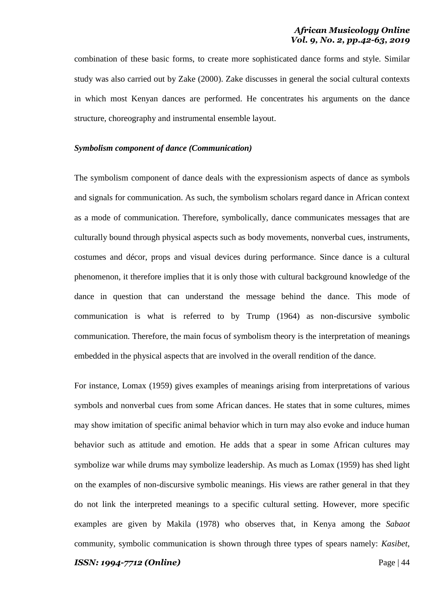combination of these basic forms, to create more sophisticated dance forms and style. Similar study was also carried out by Zake (2000). Zake discusses in general the social cultural contexts in which most Kenyan dances are performed. He concentrates his arguments on the dance structure, choreography and instrumental ensemble layout.

## *Symbolism component of dance (Communication)*

The symbolism component of dance deals with the expressionism aspects of dance as symbols and signals for communication. As such, the symbolism scholars regard dance in African context as a mode of communication. Therefore, symbolically, dance communicates messages that are culturally bound through physical aspects such as body movements, nonverbal cues, instruments, costumes and décor, props and visual devices during performance. Since dance is a cultural phenomenon, it therefore implies that it is only those with cultural background knowledge of the dance in question that can understand the message behind the dance. This mode of communication is what is referred to by Trump (1964) as non-discursive symbolic communication. Therefore, the main focus of symbolism theory is the interpretation of meanings embedded in the physical aspects that are involved in the overall rendition of the dance.

For instance, Lomax (1959) gives examples of meanings arising from interpretations of various symbols and nonverbal cues from some African dances. He states that in some cultures, mimes may show imitation of specific animal behavior which in turn may also evoke and induce human behavior such as attitude and emotion. He adds that a spear in some African cultures may symbolize war while drums may symbolize leadership. As much as Lomax (1959) has shed light on the examples of non-discursive symbolic meanings. His views are rather general in that they do not link the interpreted meanings to a specific cultural setting. However, more specific examples are given by Makila (1978) who observes that, in Kenya among the *Sabaot* community, symbolic communication is shown through three types of spears namely: *Kasibet*,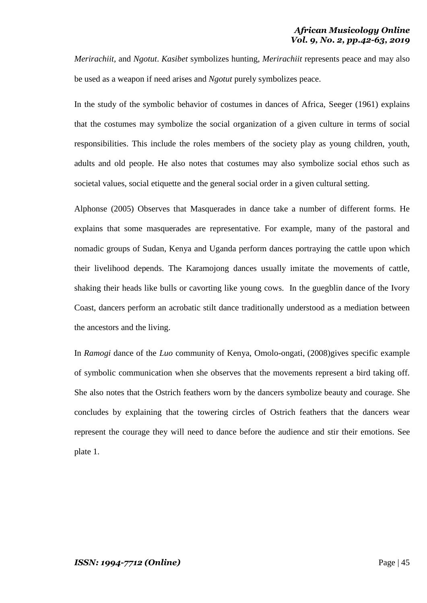*Merirachiit*, and *Ngotut*. *Kasibet* symbolizes hunting, *Merirachiit* represents peace and may also be used as a weapon if need arises and *Ngotut* purely symbolizes peace.

In the study of the symbolic behavior of costumes in dances of Africa, Seeger (1961) explains that the costumes may symbolize the social organization of a given culture in terms of social responsibilities. This include the roles members of the society play as young children, youth, adults and old people. He also notes that costumes may also symbolize social ethos such as societal values, social etiquette and the general social order in a given cultural setting.

Alphonse (2005) Observes that Masquerades in dance take a number of different forms. He explains that some masquerades are representative. For example, many of the pastoral and nomadic groups of Sudan, Kenya and Uganda perform dances portraying the cattle upon which their livelihood depends. The Karamojong dances usually imitate the movements of cattle, shaking their heads like bulls or cavorting like young cows. In the guegblin dance of the Ivory Coast, dancers perform an acrobatic stilt dance traditionally understood as a mediation between the ancestors and the living.

In *Ramogi* dance of the *Luo* community of Kenya, Omolo-ongati, (2008)gives specific example of symbolic communication when she observes that the movements represent a bird taking off. She also notes that the Ostrich feathers worn by the dancers symbolize beauty and courage. She concludes by explaining that the towering circles of Ostrich feathers that the dancers wear represent the courage they will need to dance before the audience and stir their emotions. See plate 1.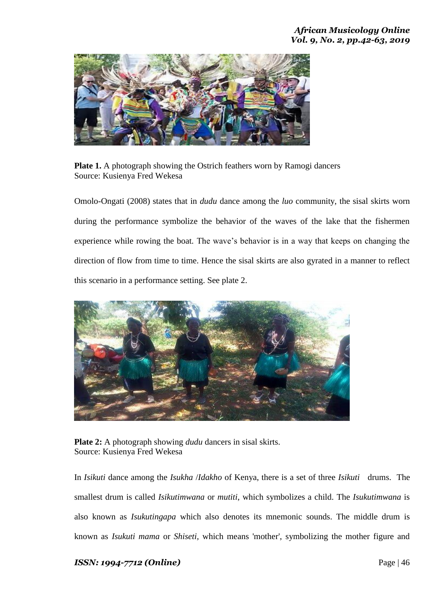

**Plate 1.** A photograph showing the Ostrich feathers worn by Ramogi dancers Source: Kusienya Fred Wekesa

Omolo-Ongati (2008) states that in *dudu* dance among the *luo* community, the sisal skirts worn during the performance symbolize the behavior of the waves of the lake that the fishermen experience while rowing the boat. The wave"s behavior is in a way that keeps on changing the direction of flow from time to time. Hence the sisal skirts are also gyrated in a manner to reflect this scenario in a performance setting. See plate 2.



**Plate 2:** A photograph showing *dudu* dancers in sisal skirts. Source: Kusienya Fred Wekesa

In *Isikuti* dance among the *Isukha* /*Idakho* of Kenya, there is a set of three *Isikuti* drums. The smallest drum is called *Isikutimwana* or *mutiti*, which symbolizes a child. The *Isukutimwana* is also known as *Isukutingapa* which also denotes its mnemonic sounds. The middle drum is known as *Isukuti mama* or *Shiseti,* which means 'mother', symbolizing the mother figure and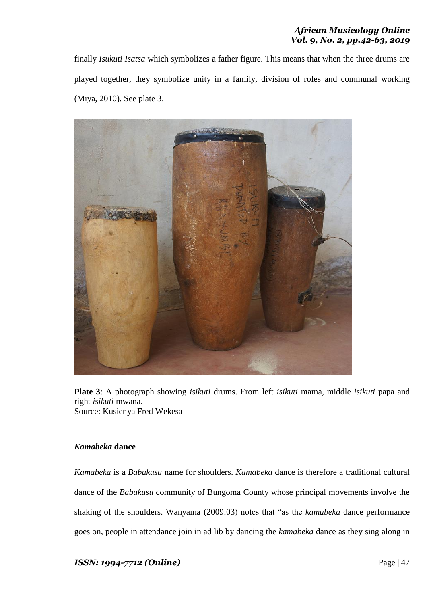finally *Isukuti Isatsa* which symbolizes a father figure. This means that when the three drums are played together, they symbolize unity in a family, division of roles and communal working (Miya, 2010). See plate 3.



**Plate 3**: A photograph showing *isikuti* drums. From left *isikuti* mama, middle *isikuti* papa and right *isikuti* mwana. Source: Kusienya Fred Wekesa

# *Kamabeka* **dance**

*Kamabeka* is a *Babukusu* name for shoulders. *Kamabeka* dance is therefore a traditional cultural dance of the *Babukusu* community of Bungoma County whose principal movements involve the shaking of the shoulders. Wanyama (2009:03) notes that "as the *kamabeka* dance performance goes on, people in attendance join in ad lib by dancing the *kamabeka* dance as they sing along in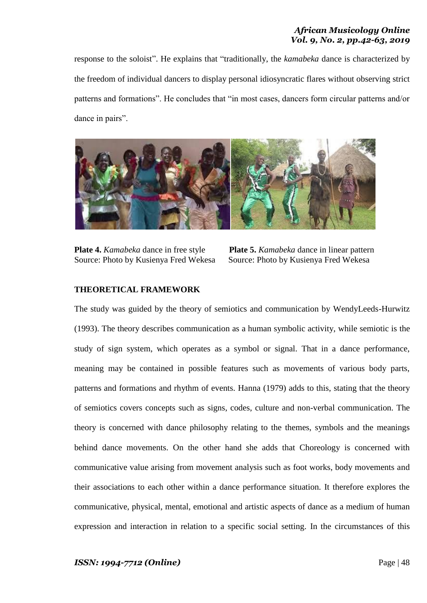response to the soloist". He explains that "traditionally, the *kamabeka* dance is characterized by the freedom of individual dancers to display personal idiosyncratic flares without observing strict patterns and formations". He concludes that "in most cases, dancers form circular patterns and/or dance in pairs".



**Plate 4.** *Kamabeka* dance in free style **Plate 5.** *Kamabeka* dance in linear pattern Source: Photo by Kusienya Fred Wekesa Source: Photo by Kusienya Fred Wekesa

# **THEORETICAL FRAMEWORK**

The study was guided by the theory of semiotics and communication by WendyLeeds-Hurwitz (1993). The theory describes communication as a human symbolic activity, while semiotic is the study of sign system, which operates as a symbol or signal. That in a dance performance, meaning may be contained in possible features such as movements of various body parts, patterns and formations and rhythm of events. Hanna (1979) adds to this, stating that the theory of semiotics covers concepts such as signs, codes, culture and non-verbal communication. The theory is concerned with dance philosophy relating to the themes, symbols and the meanings behind dance movements. On the other hand she adds that Choreology is concerned with communicative value arising from movement analysis such as foot works, body movements and their associations to each other within a dance performance situation. It therefore explores the communicative, physical, mental, emotional and artistic aspects of dance as a medium of human expression and interaction in relation to a specific social setting. In the circumstances of this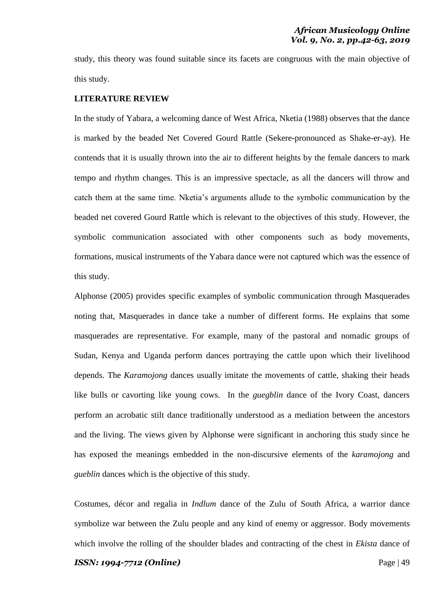study, this theory was found suitable since its facets are congruous with the main objective of this study.

## **LITERATURE REVIEW**

In the study of Yabara, a welcoming dance of West Africa, Nketia (1988) observes that the dance is marked by the beaded Net Covered Gourd Rattle (Sekere-pronounced as Shake-er-ay). He contends that it is usually thrown into the air to different heights by the female dancers to mark tempo and rhythm changes. This is an impressive spectacle, as all the dancers will throw and catch them at the same time. Nketia"s arguments allude to the symbolic communication by the beaded net covered Gourd Rattle which is relevant to the objectives of this study. However, the symbolic communication associated with other components such as body movements, formations, musical instruments of the Yabara dance were not captured which was the essence of this study.

Alphonse (2005) provides specific examples of symbolic communication through Masquerades noting that, Masquerades in dance take a number of different forms. He explains that some masquerades are representative. For example, many of the pastoral and nomadic groups of Sudan, Kenya and Uganda perform dances portraying the cattle upon which their livelihood depends. The *Karamojong* dances usually imitate the movements of cattle, shaking their heads like bulls or cavorting like young cows. In the *guegblin* dance of the Ivory Coast, dancers perform an acrobatic stilt dance traditionally understood as a mediation between the ancestors and the living. The views given by Alphonse were significant in anchoring this study since he has exposed the meanings embedded in the non-discursive elements of the *karamojong* and *gueblin* dances which is the objective of this study.

Costumes, décor and regalia in *Indlum* dance of the Zulu of South Africa, a warrior dance symbolize war between the Zulu people and any kind of enemy or aggressor. Body movements which involve the rolling of the shoulder blades and contracting of the chest in *Ekista* dance of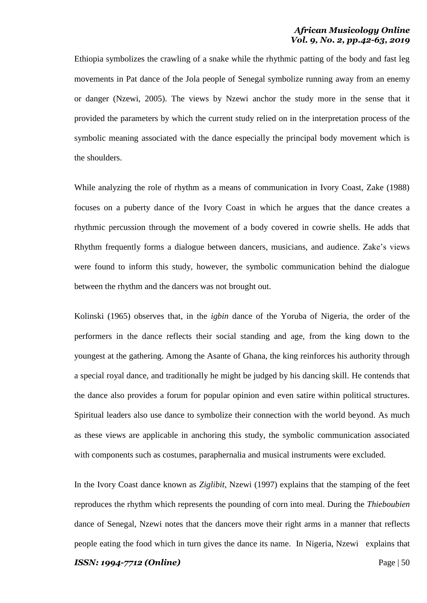Ethiopia symbolizes the crawling of a snake while the rhythmic patting of the body and fast leg movements in Pat dance of the Jola people of Senegal symbolize running away from an enemy or danger (Nzewi, 2005). The views by Nzewi anchor the study more in the sense that it provided the parameters by which the current study relied on in the interpretation process of the symbolic meaning associated with the dance especially the principal body movement which is the shoulders.

While analyzing the role of rhythm as a means of communication in Ivory Coast, Zake (1988) focuses on a puberty dance of the Ivory Coast in which he argues that the dance creates a rhythmic percussion through the movement of a body covered in cowrie shells. He adds that Rhythm frequently forms a dialogue between dancers, musicians, and audience. Zake"s views were found to inform this study, however, the symbolic communication behind the dialogue between the rhythm and the dancers was not brought out.

Kolinski (1965) observes that, in the *igbin* dance of the Yoruba of Nigeria, the order of the performers in the dance reflects their social standing and age, from the king down to the youngest at the gathering. Among the Asante of Ghana, the king reinforces his authority through a special royal dance, and traditionally he might be judged by his dancing skill. He contends that the dance also provides a forum for popular opinion and even satire within political structures. Spiritual leaders also use dance to symbolize their connection with the world beyond. As much as these views are applicable in anchoring this study, the symbolic communication associated with components such as costumes, paraphernalia and musical instruments were excluded.

In the Ivory Coast dance known as *Ziglibit*, Nzewi (1997) explains that the stamping of the feet reproduces the rhythm which represents the pounding of corn into meal. During the *Thieboubien* dance of Senegal, Nzewi notes that the dancers move their right arms in a manner that reflects people eating the food which in turn gives the dance its name. In Nigeria, Nzewi explains that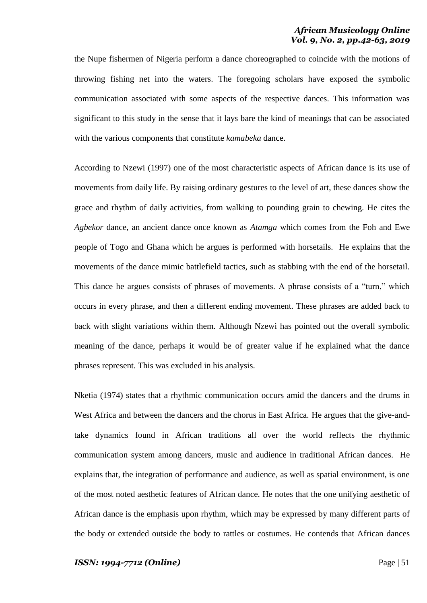the Nupe fishermen of Nigeria perform a dance choreographed to coincide with the motions of throwing fishing net into the waters. The foregoing scholars have exposed the symbolic communication associated with some aspects of the respective dances. This information was significant to this study in the sense that it lays bare the kind of meanings that can be associated with the various components that constitute *kamabeka* dance.

According to Nzewi (1997) one of the most characteristic aspects of African dance is its use of movements from daily life. By raising ordinary gestures to the level of art, these dances show the grace and rhythm of daily activities, from walking to pounding grain to chewing. He cites the *Agbekor* dance*,* an ancient dance once known as *Atamga* which comes from the Foh and Ewe people of Togo and Ghana which he argues is performed with horsetails. He explains that the movements of the dance mimic battlefield tactics, such as stabbing with the end of the horsetail. This dance he argues consists of phrases of movements. A phrase consists of a "turn," which occurs in every phrase, and then a different ending movement. These phrases are added back to back with slight variations within them. Although Nzewi has pointed out the overall symbolic meaning of the dance, perhaps it would be of greater value if he explained what the dance phrases represent. This was excluded in his analysis.

Nketia (1974) states that a rhythmic communication occurs amid the dancers and the drums in West Africa and between the dancers and the chorus in East Africa. He argues that the give-andtake dynamics found in African traditions all over the world reflects the rhythmic communication system among dancers, music and audience in traditional African dances. He explains that, the integration of performance and audience, as well as spatial environment, is one of the most noted aesthetic features of African dance. He notes that the one unifying aesthetic of African dance is the emphasis upon rhythm, which may be expressed by many different parts of the body or extended outside the body to rattles or costumes. He contends that African dances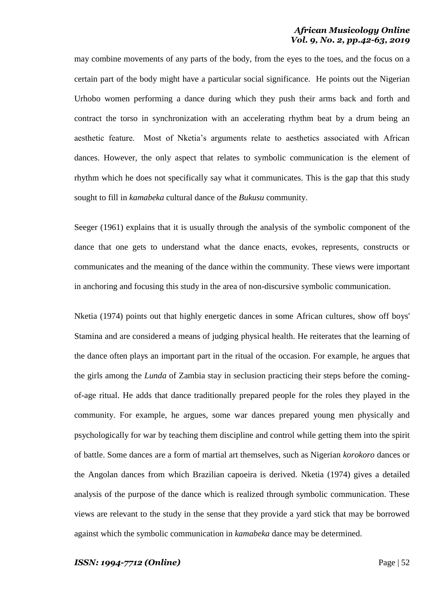may combine movements of any parts of the body, from the eyes to the toes, and the focus on a certain part of the body might have a particular social significance. He points out the Nigerian Urhobo women performing a dance during which they push their arms back and forth and contract the torso in synchronization with an accelerating rhythm beat by a drum being an aesthetic feature. Most of Nketia"s arguments relate to aesthetics associated with African dances. However, the only aspect that relates to symbolic communication is the element of rhythm which he does not specifically say what it communicates. This is the gap that this study sought to fill in *kamabeka* cultural dance of the *Bukusu* community.

Seeger (1961) explains that it is usually through the analysis of the symbolic component of the dance that one gets to understand what the dance enacts, evokes, represents, constructs or communicates and the meaning of the dance within the community. These views were important in anchoring and focusing this study in the area of non-discursive symbolic communication.

Nketia (1974) points out that highly energetic dances in some African cultures, show off boys' Stamina and are considered a means of judging physical health. He reiterates that the learning of the dance often plays an important part in the ritual of the occasion. For example, he argues that the girls among the *Lunda* of Zambia stay in seclusion practicing their steps before the comingof-age ritual. He adds that dance traditionally prepared people for the roles they played in the community. For example, he argues, some war dances prepared young men physically and psychologically for war by teaching them discipline and control while getting them into the spirit of battle. Some dances are a form of martial art themselves, such as Nigerian *korokoro* dances or the Angolan dances from which Brazilian capoeira is derived. Nketia (1974) gives a detailed analysis of the purpose of the dance which is realized through symbolic communication. These views are relevant to the study in the sense that they provide a yard stick that may be borrowed against which the symbolic communication in *kamabeka* dance may be determined.

#### *ISSN: 1994-7712 (Online)* Page | 52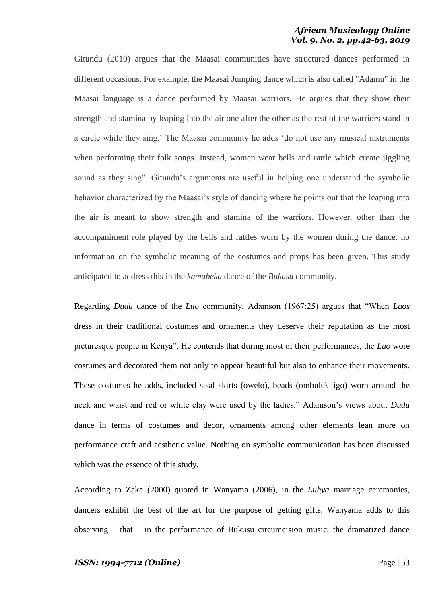Gitundu (2010) argues that the Maasai communities have structured dances performed in different occasions. For example, the Maasai Jumping dance which is also called "Adamu" in the Maasai language is a dance performed by Maasai warriors. He argues that they show their strength and stamina by leaping into the air one after the other as the rest of the warriors stand in a circle while they sing." The Maasai community he adds "do not use any musical instruments when performing their folk songs. Instead, women wear bells and rattle which create jiggling sound as they sing". Gitundu's arguments are useful in helping one understand the symbolic behavior characterized by the Maasai"s style of dancing where he points out that the leaping into the air is meant to show strength and stamina of the warriors. However, other than the accompaniment role played by the bells and rattles worn by the women during the dance, no information on the symbolic meaning of the costumes and props has been given. This study anticipated to address this in the *kamabeka* dance of the *Bukusu* community.

Regarding *Dudu* dance of the *Luo* community, Adamson (1967:25) argues that "When *Luos* dress in their traditional costumes and ornaments they deserve their reputation as the most picturesque people in Kenya". He contends that during most of their performances, the *Luo* wore costumes and decorated them not only to appear beautiful but also to enhance their movements. These costumes he adds, included sisal skirts (owelo), beads (ombulu\ tigo) worn around the neck and waist and red or white clay were used by the ladies." Adamson"s views about *Dudu* dance in terms of costumes and decor, ornaments among other elements lean more on performance craft and aesthetic value. Nothing on symbolic communication has been discussed which was the essence of this study.

According to Zake (2000) quoted in Wanyama (2006), in the *Luhya* marriage ceremonies, dancers exhibit the best of the art for the purpose of getting gifts. Wanyama adds to this observing that in the performance of Bukusu circumcision music, the dramatized dance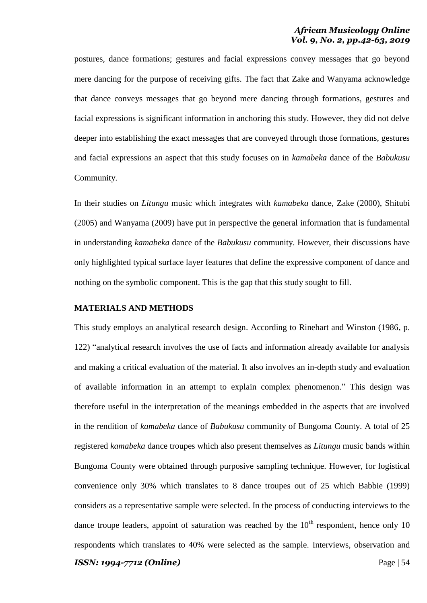postures, dance formations; gestures and facial expressions convey messages that go beyond mere dancing for the purpose of receiving gifts. The fact that Zake and Wanyama acknowledge that dance conveys messages that go beyond mere dancing through formations, gestures and facial expressions is significant information in anchoring this study. However, they did not delve deeper into establishing the exact messages that are conveyed through those formations, gestures and facial expressions an aspect that this study focuses on in *kamabeka* dance of the *Babukusu* Community.

In their studies on *Litungu* music which integrates with *kamabeka* dance, Zake (2000), Shitubi (2005) and Wanyama (2009) have put in perspective the general information that is fundamental in understanding *kamabeka* dance of the *Babukusu* community. However, their discussions have only highlighted typical surface layer features that define the expressive component of dance and nothing on the symbolic component. This is the gap that this study sought to fill.

## **MATERIALS AND METHODS**

This study employs an analytical research design. According to Rinehart and Winston (1986, p. 122) "analytical research involves the use of facts and information already available for analysis and making a critical evaluation of the material. It also involves an in-depth study and evaluation of available information in an attempt to explain complex phenomenon." This design was therefore useful in the interpretation of the meanings embedded in the aspects that are involved in the rendition of *kamabeka* dance of *Babukusu* community of Bungoma County. A total of 25 registered *kamabeka* dance troupes which also present themselves as *Litungu* music bands within Bungoma County were obtained through purposive sampling technique. However, for logistical convenience only 30% which translates to 8 dance troupes out of 25 which Babbie (1999) considers as a representative sample were selected. In the process of conducting interviews to the dance troupe leaders, appoint of saturation was reached by the  $10<sup>th</sup>$  respondent, hence only 10 respondents which translates to 40% were selected as the sample. Interviews, observation and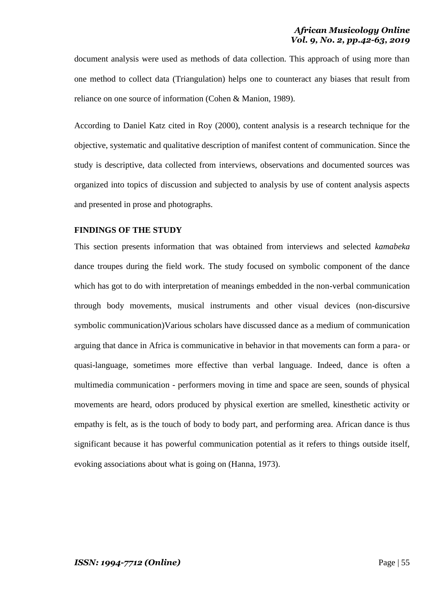document analysis were used as methods of data collection. This approach of using more than one method to collect data (Triangulation) helps one to counteract any biases that result from reliance on one source of information (Cohen & Manion, 1989).

According to Daniel Katz cited in Roy (2000), content analysis is a research technique for the objective, systematic and qualitative description of manifest content of communication. Since the study is descriptive, data collected from interviews, observations and documented sources was organized into topics of discussion and subjected to analysis by use of content analysis aspects and presented in prose and photographs.

## **FINDINGS OF THE STUDY**

This section presents information that was obtained from interviews and selected *kamabeka* dance troupes during the field work. The study focused on symbolic component of the dance which has got to do with interpretation of meanings embedded in the non-verbal communication through body movements, musical instruments and other visual devices (non-discursive symbolic communication)Various scholars have discussed dance as a medium of communication arguing that dance in Africa is communicative in behavior in that movements can form a para- or quasi-language, sometimes more effective than verbal language. Indeed, dance is often a multimedia communication - performers moving in time and space are seen, sounds of physical movements are heard, odors produced by physical exertion are smelled, kinesthetic activity or empathy is felt, as is the touch of body to body part, and performing area. African dance is thus significant because it has powerful communication potential as it refers to things outside itself, evoking associations about what is going on (Hanna, 1973).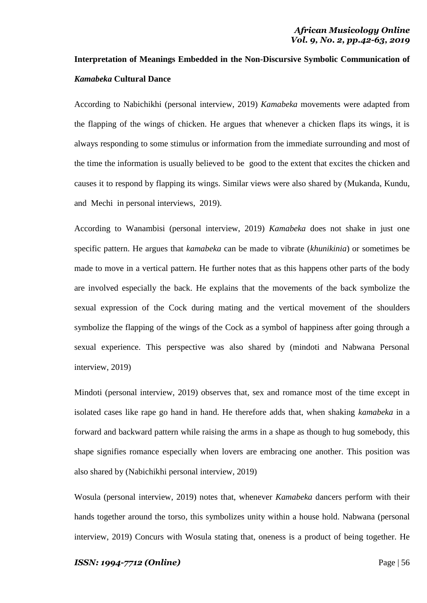# **Interpretation of Meanings Embedded in the Non-Discursive Symbolic Communication of**  *Kamabeka* **Cultural Dance**

According to Nabichikhi (personal interview, 2019) *Kamabeka* movements were adapted from the flapping of the wings of chicken. He argues that whenever a chicken flaps its wings, it is always responding to some stimulus or information from the immediate surrounding and most of the time the information is usually believed to be good to the extent that excites the chicken and causes it to respond by flapping its wings. Similar views were also shared by (Mukanda, Kundu, and Mechi in personal interviews, 2019).

According to Wanambisi (personal interview, 2019) *Kamabeka* does not shake in just one specific pattern. He argues that *kamabeka* can be made to vibrate (*khunikinia*) or sometimes be made to move in a vertical pattern. He further notes that as this happens other parts of the body are involved especially the back. He explains that the movements of the back symbolize the sexual expression of the Cock during mating and the vertical movement of the shoulders symbolize the flapping of the wings of the Cock as a symbol of happiness after going through a sexual experience. This perspective was also shared by (mindoti and Nabwana Personal interview, 2019)

Mindoti (personal interview, 2019) observes that, sex and romance most of the time except in isolated cases like rape go hand in hand. He therefore adds that, when shaking *kamabeka* in a forward and backward pattern while raising the arms in a shape as though to hug somebody, this shape signifies romance especially when lovers are embracing one another. This position was also shared by (Nabichikhi personal interview, 2019)

Wosula (personal interview, 2019) notes that, whenever *Kamabeka* dancers perform with their hands together around the torso, this symbolizes unity within a house hold. Nabwana (personal interview, 2019) Concurs with Wosula stating that, oneness is a product of being together. He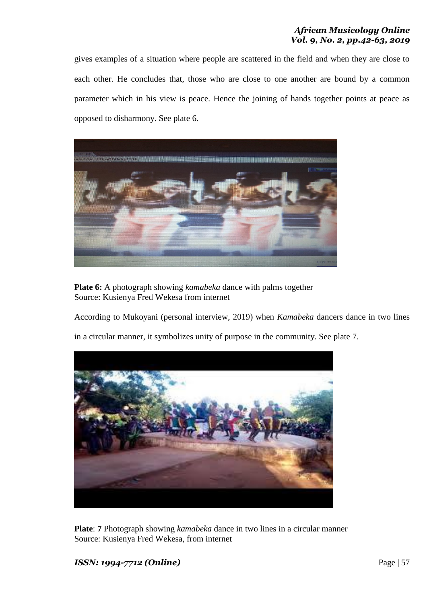gives examples of a situation where people are scattered in the field and when they are close to each other. He concludes that, those who are close to one another are bound by a common parameter which in his view is peace. Hence the joining of hands together points at peace as opposed to disharmony. See plate 6.



**Plate 6:** A photograph showing *kamabeka* dance with palms together Source: Kusienya Fred Wekesa from internet

According to Mukoyani (personal interview, 2019) when *Kamabeka* dancers dance in two lines

in a circular manner, it symbolizes unity of purpose in the community. See plate 7.



**Plate**: **7** Photograph showing *kamabeka* dance in two lines in a circular manner Source: Kusienya Fred Wekesa, from internet

# *ISSN: 1994-7712 (Online)* Page | 57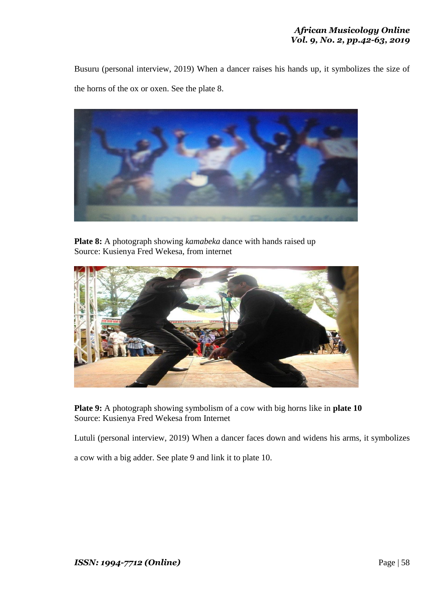Busuru (personal interview, 2019) When a dancer raises his hands up, it symbolizes the size of the horns of the ox or oxen. See the plate 8.



**Plate 8:** A photograph showing *kamabeka* dance with hands raised up Source: Kusienya Fred Wekesa, from internet



**Plate 9:** A photograph showing symbolism of a cow with big horns like in **plate 10** Source: Kusienya Fred Wekesa from Internet

Lutuli (personal interview, 2019) When a dancer faces down and widens his arms, it symbolizes

a cow with a big adder. See plate 9 and link it to plate 10.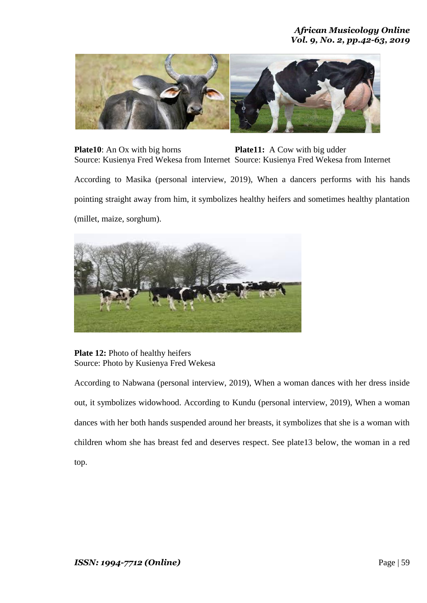

**Plate10**: An Ox with big horns **Plate11:** A Cow with big udder Source: Kusienya Fred Wekesa from Internet Source: Kusienya Fred Wekesa from Internet

According to Masika (personal interview, 2019), When a dancers performs with his hands pointing straight away from him, it symbolizes healthy heifers and sometimes healthy plantation (millet, maize, sorghum).



**Plate 12:** Photo of healthy heifers Source: Photo by Kusienya Fred Wekesa

According to Nabwana (personal interview, 2019), When a woman dances with her dress inside out, it symbolizes widowhood. According to Kundu (personal interview, 2019), When a woman dances with her both hands suspended around her breasts, it symbolizes that she is a woman with children whom she has breast fed and deserves respect. See plate13 below, the woman in a red top.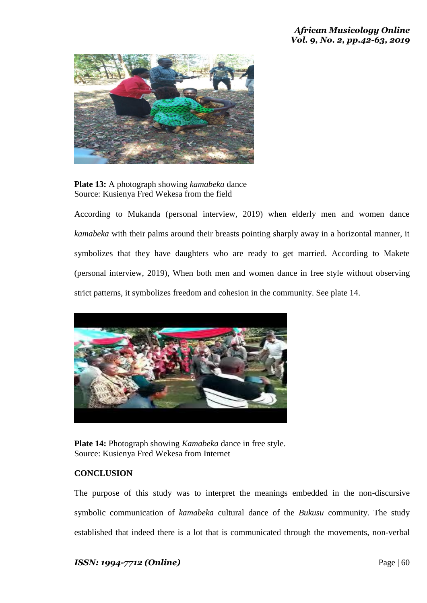

**Plate 13:** A photograph showing *kamabeka* dance Source: Kusienya Fred Wekesa from the field

According to Mukanda (personal interview, 2019) when elderly men and women dance *kamabeka* with their palms around their breasts pointing sharply away in a horizontal manner, it symbolizes that they have daughters who are ready to get married. According to Makete (personal interview, 2019), When both men and women dance in free style without observing strict patterns, it symbolizes freedom and cohesion in the community. See plate 14.



**Plate 14:** Photograph showing *Kamabeka* dance in free style. Source: Kusienya Fred Wekesa from Internet

# **CONCLUSION**

The purpose of this study was to interpret the meanings embedded in the non-discursive symbolic communication of *kamabeka* cultural dance of the *Bukusu* community. The study established that indeed there is a lot that is communicated through the movements, non-verbal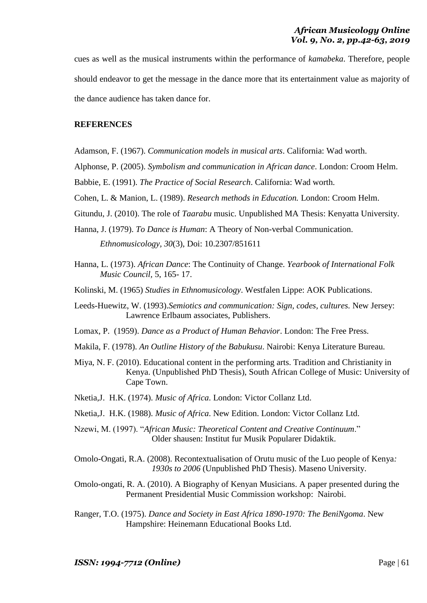cues as well as the musical instruments within the performance of *kamabeka*. Therefore, people should endeavor to get the message in the dance more that its entertainment value as majority of the dance audience has taken dance for.

# **REFERENCES**

- Adamson, F. (1967). *Communication models in musical arts*. California: Wad worth.
- Alphonse, P. (2005). *Symbolism and communication in African dance*. London: Croom Helm.
- Babbie, E. (1991). *The Practice of Social Research*. California: Wad worth.
- Cohen, L. & Manion, L. (1989). *Research methods in Education.* London: Croom Helm.
- Gitundu, J. (2010). The role of *Taarabu* music. Unpublished MA Thesis: Kenyatta University.
- Hanna, J. (1979). *To Dance is Human*: A Theory of Non-verbal Communication.

*Ethnomusicology, 30*(3), Doi: 10.2307/851611

- Hanna, L. (1973). *African Dance*: The Continuity of Change. *Yearbook of International Folk Music Council,* 5, 165- 17.
- Kolinski, M. (1965) *Studies in Ethnomusicology*. Westfalen Lippe: AOK Publications.
- Leeds-Huewitz, W. (1993).*Semiotics and communication: Sign, codes, cultures.* New Jersey: Lawrence Erlbaum associates, Publishers.
- Lomax, P. (1959). *Dance as a Product of Human Behavior*. London: The Free Press.
- Makila, F. (1978). *An Outline History of the Babukusu*. Nairobi: Kenya Literature Bureau.
- Miya, N. F. (2010). Educational content in the performing arts. Tradition and Christianity in Kenya. (Unpublished PhD Thesis), South African College of Music: University of Cape Town.
- Nketia,J. H.K. (1974). *Music of Africa*. London: Victor Collanz Ltd.
- Nketia,J. H.K. (1988). *Music of Africa*. New Edition. London: Victor Collanz Ltd.
- Nzewi, M. (1997). "*African Music: Theoretical Content and Creative Continuum*." Older shausen: Institut fur Musik Popularer Didaktik.

Omolo-Ongati, R.A. (2008). Recontextualisation of Orutu music of the Luo people of Kenya*: 1930s to 2006* (Unpublished PhD Thesis). Maseno University.

- Omolo-ongati, R. A. (2010). A Biography of Kenyan Musicians. A paper presented during the Permanent Presidential Music Commission workshop: Nairobi.
- Ranger, T.O. (1975). *Dance and Society in East Africa 1890-1970: The BeniNgoma*. New Hampshire: Heinemann Educational Books Ltd.

*ISSN:* 1994-7712 (Online) **Page | 61** Page | 61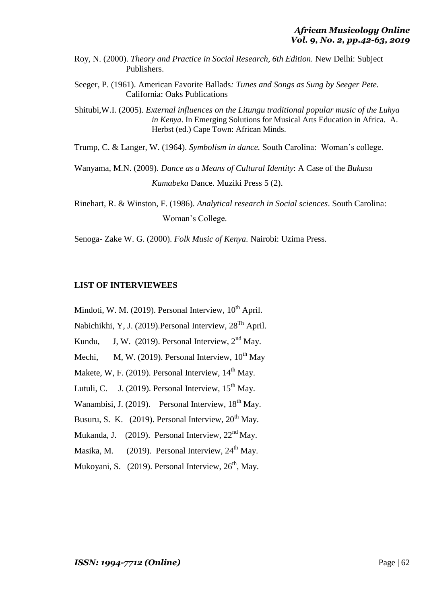- Roy, N. (2000). *Theory and Practice in Social Research, 6th Edition.* New Delhi: Subject Publishers.
- Seeger, P. (1961). American Favorite Ballads*: Tunes and Songs as Sung by Seeger Pete.* California: Oaks Publications
- Shitubi,W.I. (2005). *External influences on the Litungu traditional popular music of the Luhya in Kenya*. In Emerging Solutions for Musical Arts Education in Africa*.* A. Herbst (ed.) Cape Town: African Minds.

Trump, C. & Langer, W. (1964). *Symbolism in dance.* South Carolina: Woman"s college.

Wanyama, M.N. (2009). *Dance as a Means of Cultural Identity*: A Case of the *Bukusu Kamabeka* Dance. Muziki Press 5 (2).

Rinehart, R. & Winston, F. (1986). *Analytical research in Social sciences*. South Carolina: Woman"s College.

Senoga- Zake W. G. (2000). *Folk Music of Kenya.* Nairobi: Uzima Press.

## **LIST OF INTERVIEWEES**

Mindoti, W. M.  $(2019)$ . Personal Interview,  $10^{th}$  April. Nabichikhi, Y, J. (2019).Personal Interview, 28Th April. Kundu, J, W. (2019). Personal Interview,  $2<sup>nd</sup>$  May. Mechi, M, W, (2019). Personal Interview,  $10^{th}$  May Makete, W. F.  $(2019)$ . Personal Interview,  $14<sup>th</sup>$  May. Lutuli, C. J. (2019). Personal Interview,  $15<sup>th</sup>$  May. Wanambisi, J. (2019). Personal Interview, 18<sup>th</sup> May. Busuru, S. K. (2019). Personal Interview,  $20<sup>th</sup>$  May. Mukanda, J. (2019). Personal Interview,  $22<sup>nd</sup>$  May. Masika, M.  $(2019)$ . Personal Interview,  $24<sup>th</sup>$  May. Mukoyani, S. (2019). Personal Interview, 26<sup>th</sup>, Mav.